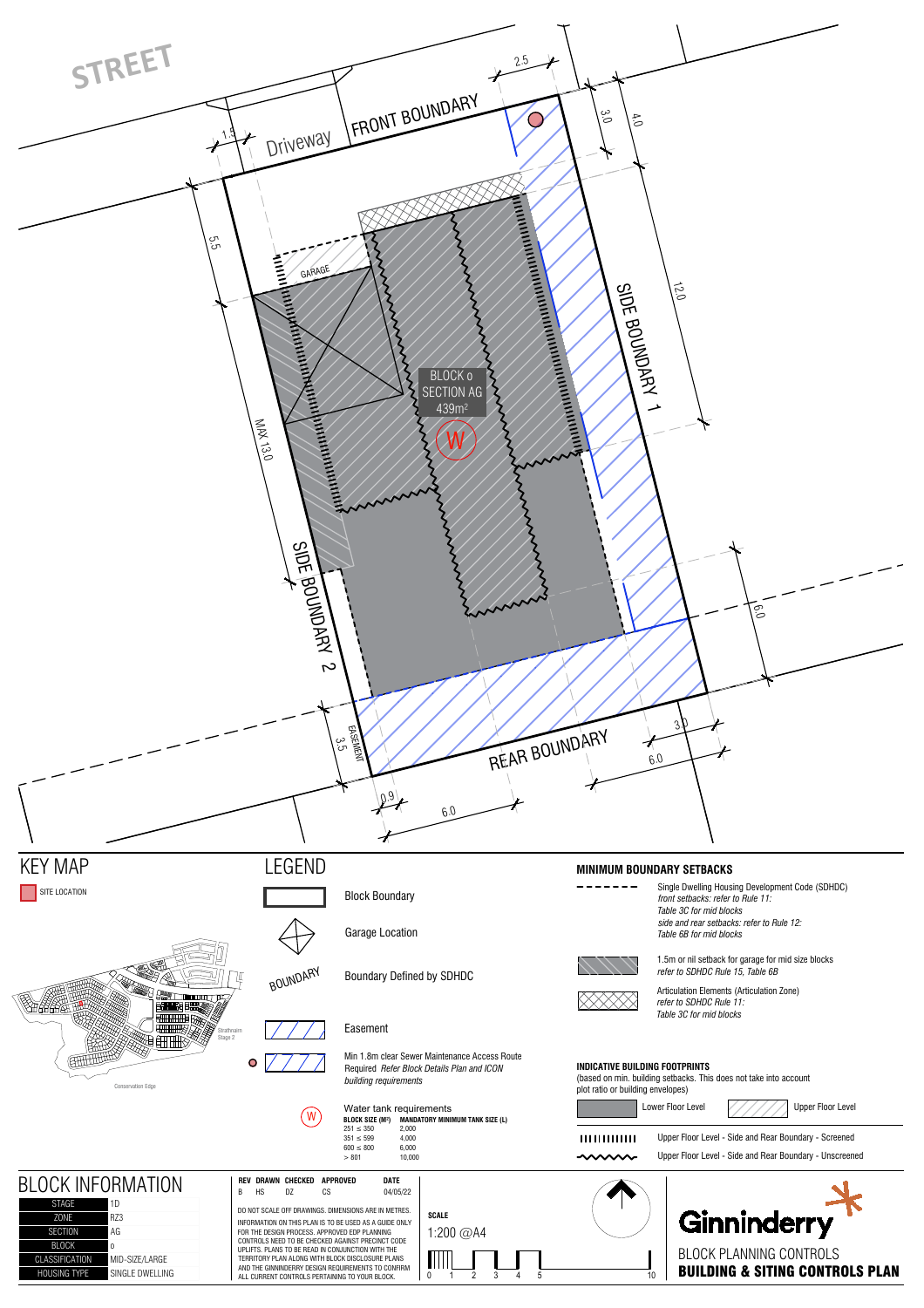